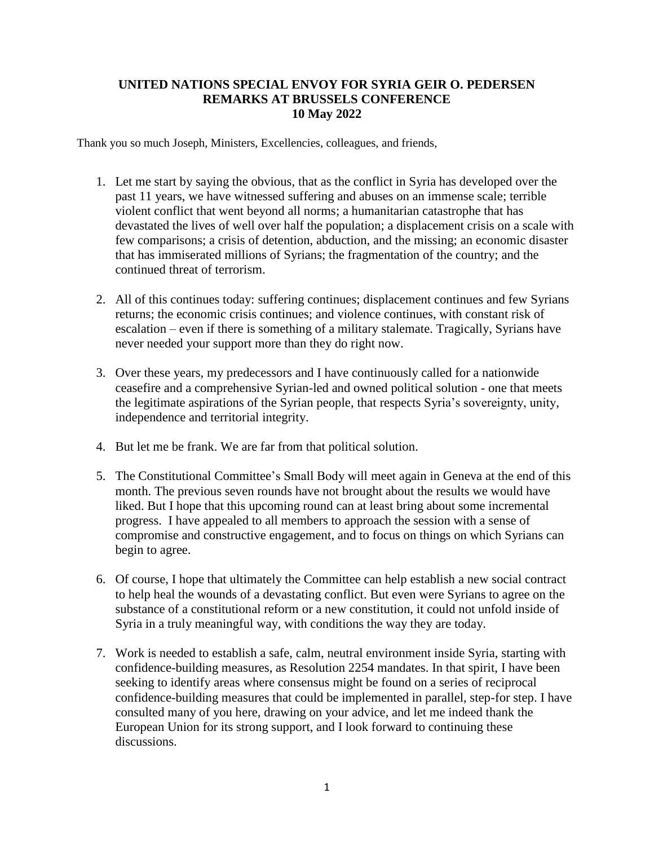## **UNITED NATIONS SPECIAL ENVOY FOR SYRIA GEIR O. PEDERSEN REMARKS AT BRUSSELS CONFERENCE 10 May 2022**

Thank you so much Joseph, Ministers, Excellencies, colleagues, and friends,

- 1. Let me start by saying the obvious, that as the conflict in Syria has developed over the past 11 years, we have witnessed suffering and abuses on an immense scale; terrible violent conflict that went beyond all norms; a humanitarian catastrophe that has devastated the lives of well over half the population; a displacement crisis on a scale with few comparisons; a crisis of detention, abduction, and the missing; an economic disaster that has immiserated millions of Syrians; the fragmentation of the country; and the continued threat of terrorism.
- 2. All of this continues today: suffering continues; displacement continues and few Syrians returns; the economic crisis continues; and violence continues, with constant risk of escalation – even if there is something of a military stalemate. Tragically, Syrians have never needed your support more than they do right now.
- 3. Over these years, my predecessors and I have continuously called for a nationwide ceasefire and a comprehensive Syrian-led and owned political solution - one that meets the legitimate aspirations of the Syrian people, that respects Syria's sovereignty, unity, independence and territorial integrity.
- 4. But let me be frank. We are far from that political solution.
- 5. The Constitutional Committee's Small Body will meet again in Geneva at the end of this month. The previous seven rounds have not brought about the results we would have liked. But I hope that this upcoming round can at least bring about some incremental progress. I have appealed to all members to approach the session with a sense of compromise and constructive engagement, and to focus on things on which Syrians can begin to agree.
- 6. Of course, I hope that ultimately the Committee can help establish a new social contract to help heal the wounds of a devastating conflict. But even were Syrians to agree on the substance of a constitutional reform or a new constitution, it could not unfold inside of Syria in a truly meaningful way, with conditions the way they are today.
- 7. Work is needed to establish a safe, calm, neutral environment inside Syria, starting with confidence-building measures, as Resolution 2254 mandates. In that spirit, I have been seeking to identify areas where consensus might be found on a series of reciprocal confidence-building measures that could be implemented in parallel, step-for step. I have consulted many of you here, drawing on your advice, and let me indeed thank the European Union for its strong support, and I look forward to continuing these discussions.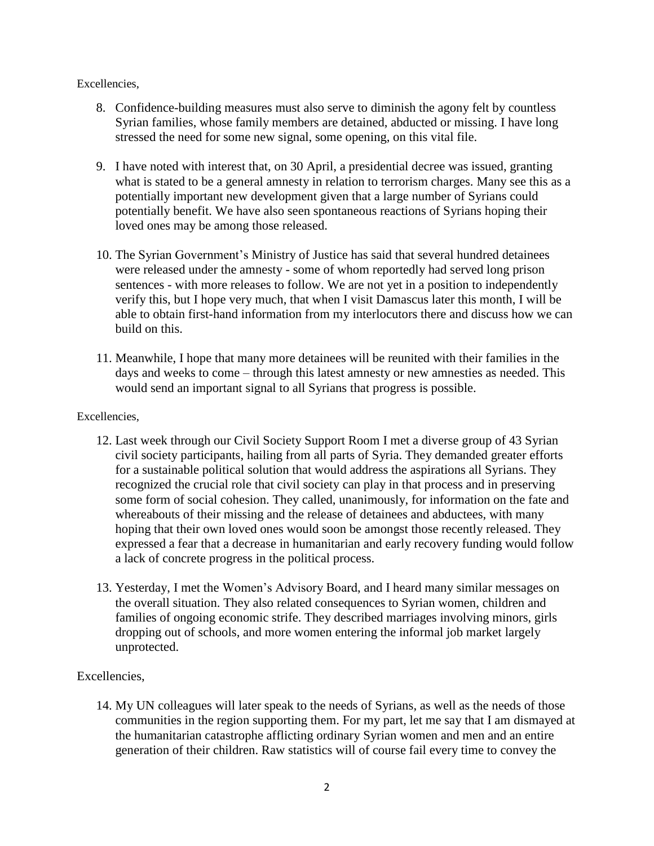Excellencies,

- 8. Confidence-building measures must also serve to diminish the agony felt by countless Syrian families, whose family members are detained, abducted or missing. I have long stressed the need for some new signal, some opening, on this vital file.
- 9. I have noted with interest that, on 30 April, a presidential decree was issued, granting what is stated to be a general amnesty in relation to terrorism charges. Many see this as a potentially important new development given that a large number of Syrians could potentially benefit. We have also seen spontaneous reactions of Syrians hoping their loved ones may be among those released.
- 10. The Syrian Government's Ministry of Justice has said that several hundred detainees were released under the amnesty - some of whom reportedly had served long prison sentences - with more releases to follow. We are not yet in a position to independently verify this, but I hope very much, that when I visit Damascus later this month, I will be able to obtain first-hand information from my interlocutors there and discuss how we can build on this.
- 11. Meanwhile, I hope that many more detainees will be reunited with their families in the days and weeks to come – through this latest amnesty or new amnesties as needed. This would send an important signal to all Syrians that progress is possible.

## Excellencies,

- 12. Last week through our Civil Society Support Room I met a diverse group of 43 Syrian civil society participants, hailing from all parts of Syria. They demanded greater efforts for a sustainable political solution that would address the aspirations all Syrians. They recognized the crucial role that civil society can play in that process and in preserving some form of social cohesion. They called, unanimously, for information on the fate and whereabouts of their missing and the release of detainees and abductees, with many hoping that their own loved ones would soon be amongst those recently released. They expressed a fear that a decrease in humanitarian and early recovery funding would follow a lack of concrete progress in the political process.
- 13. Yesterday, I met the Women's Advisory Board, and I heard many similar messages on the overall situation. They also related consequences to Syrian women, children and families of ongoing economic strife. They described marriages involving minors, girls dropping out of schools, and more women entering the informal job market largely unprotected.

## Excellencies,

14. My UN colleagues will later speak to the needs of Syrians, as well as the needs of those communities in the region supporting them. For my part, let me say that I am dismayed at the humanitarian catastrophe afflicting ordinary Syrian women and men and an entire generation of their children. Raw statistics will of course fail every time to convey the